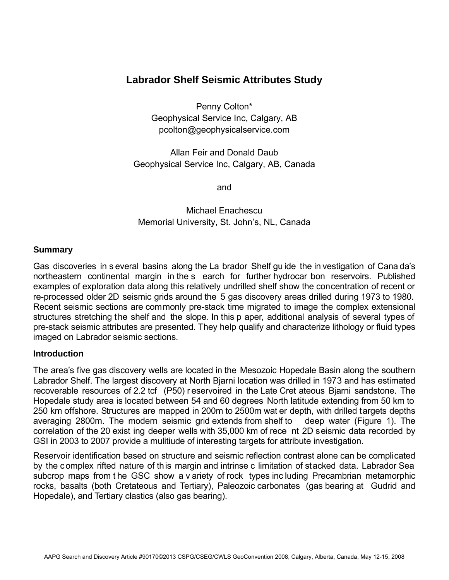# **Labrador Shelf Seismic Attributes Study**

Penny Colton\* Geophysical Service Inc, Calgary, AB pcolton@geophysicalservice.com

Allan Feir and Donald Daub Geophysical Service Inc, Calgary, AB, Canada

and

Michael Enachescu Memorial University, St. John's, NL, Canada

## **Summary**

Gas discoveries in s everal basins along the La brador Shelf gu ide the in vestigation of Cana da's northeastern continental margin in the s earch for further hydrocar bon reservoirs. Published examples of exploration data along this relatively undrilled shelf show the concentration of recent or re-processed older 2D seismic grids around the 5 gas discovery areas drilled during 1973 to 1980. Recent seismic sections are commonly pre-stack time migrated to image the complex extensional structures stretching the shelf and the slope. In this p aper, additional analysis of several types of pre-stack seismic attributes are presented. They help qualify and characterize lithology or fluid types imaged on Labrador seismic sections.

### **Introduction**

The area's five gas discovery wells are located in the Mesozoic Hopedale Basin along the southern Labrador Shelf. The largest discovery at North Bjarni location was drilled in 1973 and has estimated recoverable resources of 2.2 tcf (P50) r eservoired in the Late Cret ateous Bjarni sandstone. The Hopedale study area is located between 54 and 60 degrees North latitude extending from 50 km to 250 km offshore. Structures are mapped in 200m to 2500m wat er depth, with drilled targets depths averaging 2800m. The modern seismic grid extends from shelf to deep water (Figure 1). The correlation of the 20 exist ing deeper wells with 35,000 km of rece nt 2D seismic data recorded by GSI in 2003 to 2007 provide a mulitiude of interesting targets for attribute investigation.

Reservoir identification based on structure and seismic reflection contrast alone can be complicated by the complex rifted nature of this margin and intrinse c limitation of stacked data. Labrador Sea subcrop maps from t he GSC show a v ariety of rock types inc luding Precambrian metamorphic rocks, basalts (both Cretateous and Tertiary), Paleozoic carbonates (gas bearing at Gudrid and Hopedale), and Tertiary clastics (also gas bearing).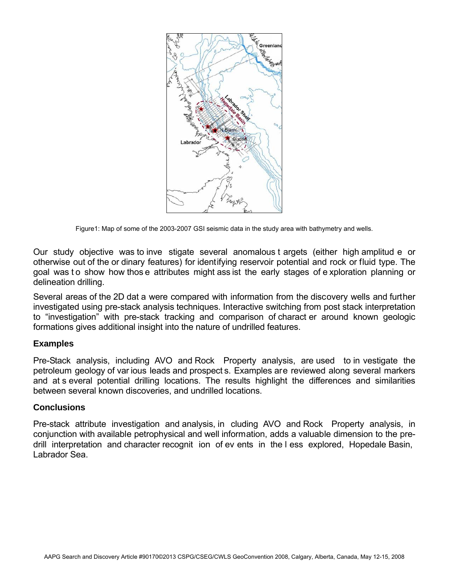

Figure1: Map of some of the 2003-2007 GSI seismic data in the study area with bathymetry and wells.

Our study objective was to inve stigate several anomalous t argets (either high amplitud e or otherwise out of the or dinary features) for identifying reservoir potential and rock or fluid type. The goal was to show how thos e attributes might ass ist the early stages of exploration planning or delineation drilling.

Several areas of the 2D dat a were compared with information from the discovery wells and further investigated using pre-stack analysis techniques. Interactive switching from post stack interpretation to "investigation" with pre-stack tracking and comparison of charact er around known geologic formations gives additional insight into the nature of undrilled features.

# **Examples**

Pre-Stack analysis, including AVO and Rock Property analysis, are used to in vestigate the petroleum geology of var ious leads and prospect s. Examples are reviewed along several markers and at s everal potential drilling locations. The results highlight the differences and similarities between several known discoveries, and undrilled locations.

### **Conclusions**

Pre-stack attribute investigation and analysis, in cluding AVO and Rock Property analysis, in conjunction with available petrophysical and well information, adds a valuable dimension to the predrill interpretation and character recognit ion of ev ents in the l ess explored, Hopedale Basin, Labrador Sea.